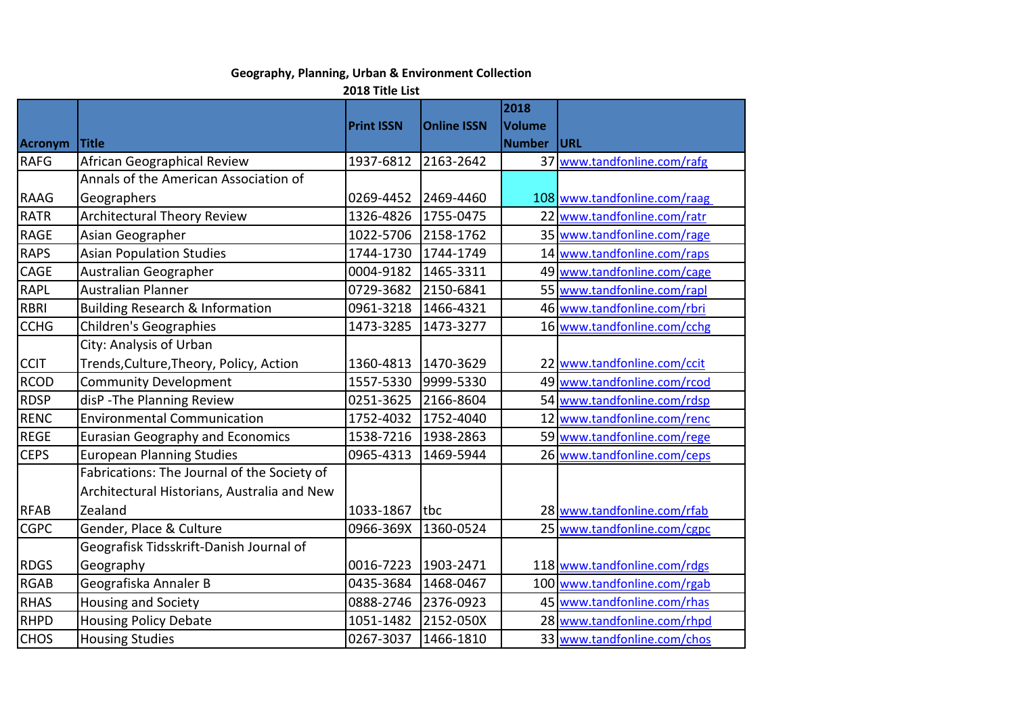## **Geography, Planning, Urban & Environment Collection**

**2018 Title List**

|                |                                             | <b>Print ISSN</b> | <b>Online ISSN</b> | 2018<br><b>Volume</b> |                              |
|----------------|---------------------------------------------|-------------------|--------------------|-----------------------|------------------------------|
| <b>Acronym</b> | <b>Title</b>                                |                   |                    | <b>Number</b>         | URL                          |
| <b>RAFG</b>    | African Geographical Review                 | 1937-6812         | 2163-2642          |                       | 37 www.tandfonline.com/rafg  |
|                | Annals of the American Association of       |                   |                    |                       |                              |
| <b>RAAG</b>    | Geographers                                 | 0269-4452         | 2469-4460          |                       | 108 www.tandfonline.com/raag |
| <b>RATR</b>    | Architectural Theory Review                 | 1326-4826         | 1755-0475          |                       | 22 www.tandfonline.com/ratr  |
| <b>RAGE</b>    | Asian Geographer                            | 1022-5706         | 2158-1762          |                       | 35 www.tandfonline.com/rage  |
| <b>RAPS</b>    | <b>Asian Population Studies</b>             | 1744-1730         | 1744-1749          |                       | 14 www.tandfonline.com/raps  |
| CAGE           | Australian Geographer                       | 0004-9182         | 1465-3311          |                       | 49 www.tandfonline.com/cage  |
| <b>RAPL</b>    | <b>Australian Planner</b>                   | 0729-3682         | 2150-6841          |                       | 55 www.tandfonline.com/rapl  |
| <b>RBRI</b>    | <b>Building Research &amp; Information</b>  | 0961-3218         | 1466-4321          |                       | 46 www.tandfonline.com/rbri  |
| <b>CCHG</b>    | <b>Children's Geographies</b>               | 1473-3285         | 1473-3277          |                       | 16 www.tandfonline.com/cchg  |
|                | City: Analysis of Urban                     |                   |                    |                       |                              |
| <b>CCIT</b>    | Trends, Culture, Theory, Policy, Action     | 1360-4813         | 1470-3629          |                       | 22 www.tandfonline.com/ccit  |
| <b>RCOD</b>    | <b>Community Development</b>                | 1557-5330         | 9999-5330          |                       | 49 www.tandfonline.com/rcod  |
| <b>RDSP</b>    | disP - The Planning Review                  | 0251-3625         | 2166-8604          |                       | 54 www.tandfonline.com/rdsp  |
| <b>RENC</b>    | <b>Environmental Communication</b>          | 1752-4032         | 1752-4040          |                       | 12 www.tandfonline.com/renc  |
| <b>REGE</b>    | <b>Eurasian Geography and Economics</b>     | 1538-7216         | 1938-2863          |                       | 59 www.tandfonline.com/rege  |
| <b>CEPS</b>    | <b>European Planning Studies</b>            | 0965-4313         | 1469-5944          |                       | 26 www.tandfonline.com/ceps  |
|                | Fabrications: The Journal of the Society of |                   |                    |                       |                              |
|                | Architectural Historians, Australia and New |                   |                    |                       |                              |
| <b>RFAB</b>    | Zealand                                     | 1033-1867         | tbc                |                       | 28 www.tandfonline.com/rfab  |
| <b>CGPC</b>    | Gender, Place & Culture                     | 0966-369X         | 1360-0524          |                       | 25 www.tandfonline.com/cgpc  |
|                | Geografisk Tidsskrift-Danish Journal of     |                   |                    |                       |                              |
| <b>RDGS</b>    | Geography                                   | 0016-7223         | 1903-2471          |                       | 118 www.tandfonline.com/rdgs |
| <b>RGAB</b>    | Geografiska Annaler B                       | 0435-3684         | 1468-0467          |                       | 100 www.tandfonline.com/rgab |
| <b>RHAS</b>    | <b>Housing and Society</b>                  | 0888-2746         | 2376-0923          |                       | 45 www.tandfonline.com/rhas  |
| <b>RHPD</b>    | <b>Housing Policy Debate</b>                | 1051-1482         | 2152-050X          |                       | 28 www.tandfonline.com/rhpd  |
| <b>CHOS</b>    | <b>Housing Studies</b>                      | 0267-3037         | 1466-1810          |                       | 33 www.tandfonline.com/chos  |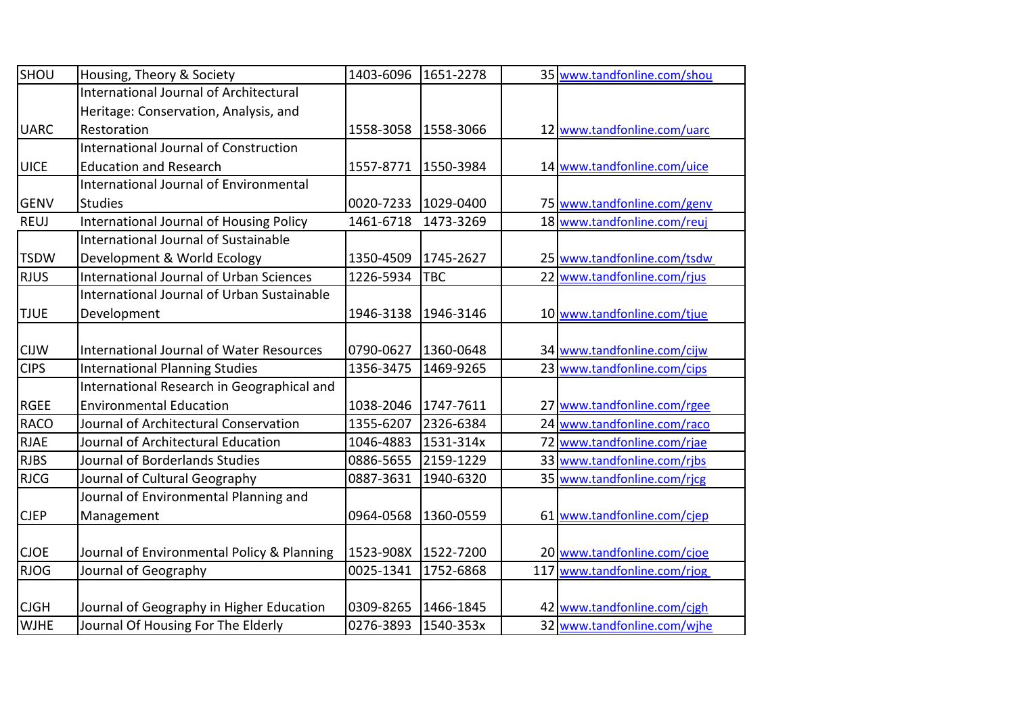| SHOU        | Housing, Theory & Society                       | 1403-6096 | 1651-2278  | 35 www.tandfonline.com/shou  |
|-------------|-------------------------------------------------|-----------|------------|------------------------------|
|             | <b>International Journal of Architectural</b>   |           |            |                              |
|             | Heritage: Conservation, Analysis, and           |           |            |                              |
| <b>UARC</b> | Restoration                                     | 1558-3058 | 1558-3066  | 12 www.tandfonline.com/uarc  |
|             | <b>International Journal of Construction</b>    |           |            |                              |
| <b>UICE</b> | <b>Education and Research</b>                   | 1557-8771 | 1550-3984  | 14 www.tandfonline.com/uice  |
|             | <b>International Journal of Environmental</b>   |           |            |                              |
| <b>GENV</b> | <b>Studies</b>                                  | 0020-7233 | 1029-0400  | 75 www.tandfonline.com/genv  |
| <b>REUJ</b> | International Journal of Housing Policy         | 1461-6718 | 1473-3269  | 18 www.tandfonline.com/reuj  |
|             | <b>International Journal of Sustainable</b>     |           |            |                              |
| <b>TSDW</b> | Development & World Ecology                     | 1350-4509 | 1745-2627  | 25 www.tandfonline.com/tsdw  |
| <b>RJUS</b> | <b>International Journal of Urban Sciences</b>  | 1226-5934 | <b>TBC</b> | 22 www.tandfonline.com/rjus  |
|             | International Journal of Urban Sustainable      |           |            |                              |
| <b>TJUE</b> | Development                                     | 1946-3138 | 1946-3146  | 10 www.tandfonline.com/tjue  |
|             |                                                 |           |            |                              |
| <b>CIJW</b> | <b>International Journal of Water Resources</b> | 0790-0627 | 1360-0648  | 34 www.tandfonline.com/cijw  |
| <b>CIPS</b> | <b>International Planning Studies</b>           | 1356-3475 | 1469-9265  | 23 www.tandfonline.com/cips  |
|             | International Research in Geographical and      |           |            |                              |
| <b>RGEE</b> | <b>Environmental Education</b>                  | 1038-2046 | 1747-7611  | 27 www.tandfonline.com/rgee  |
| <b>RACO</b> | Journal of Architectural Conservation           | 1355-6207 | 2326-6384  | 24 www.tandfonline.com/raco  |
| <b>RJAE</b> | Journal of Architectural Education              | 1046-4883 | 1531-314x  | 72 www.tandfonline.com/rjae  |
| <b>RJBS</b> | Journal of Borderlands Studies                  | 0886-5655 | 2159-1229  | 33 www.tandfonline.com/ribs  |
| <b>RJCG</b> | Journal of Cultural Geography                   | 0887-3631 | 1940-6320  | 35 www.tandfonline.com/rjcg  |
|             | Journal of Environmental Planning and           |           |            |                              |
| <b>CJEP</b> | Management                                      | 0964-0568 | 1360-0559  | 61 www.tandfonline.com/cjep  |
|             |                                                 |           |            |                              |
| <b>CJOE</b> | Journal of Environmental Policy & Planning      | 1523-908X | 1522-7200  | 20 www.tandfonline.com/cjoe  |
| <b>RJOG</b> | Journal of Geography                            | 0025-1341 | 1752-6868  | 117 www.tandfonline.com/rjog |
|             |                                                 |           |            |                              |
| <b>CJGH</b> | Journal of Geography in Higher Education        | 0309-8265 | 1466-1845  | 42 www.tandfonline.com/cjgh  |
| <b>WJHE</b> | Journal Of Housing For The Elderly              | 0276-3893 | 1540-353x  | 32 www.tandfonline.com/wjhe  |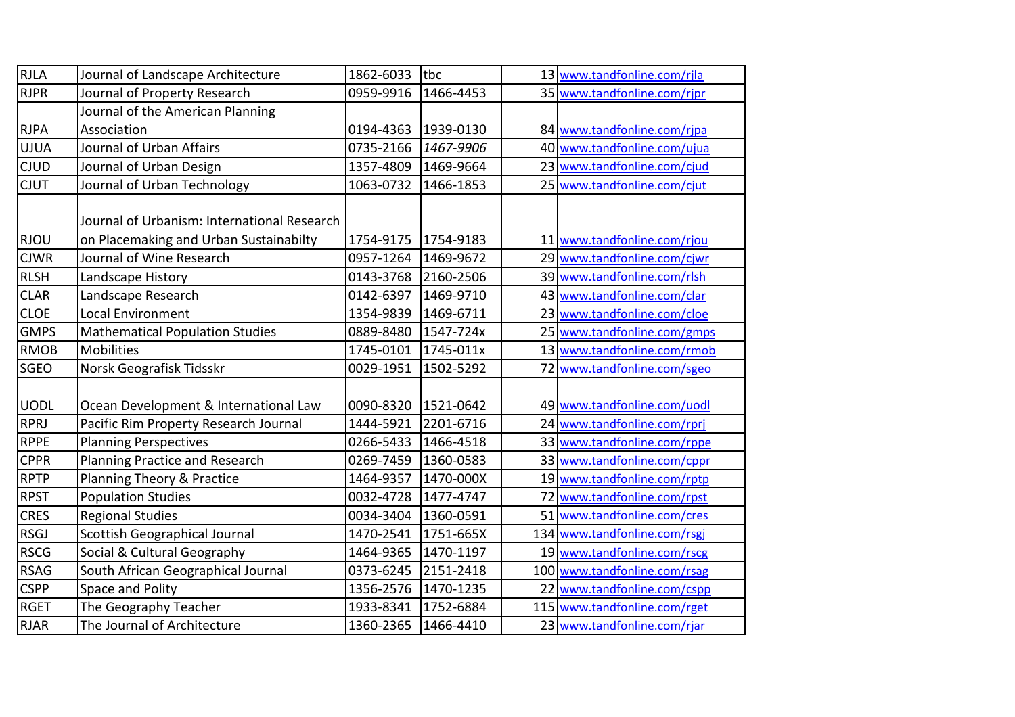| <b>RJLA</b> | Journal of Landscape Architecture                                                     | 1862-6033 | tbc       | 13 www.tandfonline.com/rjla  |
|-------------|---------------------------------------------------------------------------------------|-----------|-----------|------------------------------|
| <b>RJPR</b> | Journal of Property Research                                                          | 0959-9916 | 1466-4453 | 35 www.tandfonline.com/rjpr  |
|             | Journal of the American Planning                                                      |           |           |                              |
| <b>RJPA</b> | Association                                                                           | 0194-4363 | 1939-0130 | 84 www.tandfonline.com/rjpa  |
| <b>UJUA</b> | Journal of Urban Affairs                                                              | 0735-2166 | 1467-9906 | 40 www.tandfonline.com/ujua  |
| <b>CJUD</b> | Journal of Urban Design                                                               | 1357-4809 | 1469-9664 | 23 www.tandfonline.com/cjud  |
| <b>CJUT</b> | Journal of Urban Technology                                                           | 1063-0732 | 1466-1853 | 25 www.tandfonline.com/cjut  |
| <b>RJOU</b> | Journal of Urbanism: International Research<br>on Placemaking and Urban Sustainabilty | 1754-9175 | 1754-9183 | 11 www.tandfonline.com/rjou  |
| <b>CJWR</b> | Journal of Wine Research                                                              | 0957-1264 | 1469-9672 | 29 www.tandfonline.com/cjwr  |
| <b>RLSH</b> | Landscape History                                                                     | 0143-3768 | 2160-2506 | 39 www.tandfonline.com/rlsh  |
| <b>CLAR</b> | Landscape Research                                                                    | 0142-6397 | 1469-9710 | 43 www.tandfonline.com/clar  |
| <b>CLOE</b> | <b>Local Environment</b>                                                              | 1354-9839 | 1469-6711 | 23 www.tandfonline.com/cloe  |
| <b>GMPS</b> | <b>Mathematical Population Studies</b>                                                | 0889-8480 | 1547-724x | 25 www.tandfonline.com/gmps  |
| <b>RMOB</b> | <b>Mobilities</b>                                                                     | 1745-0101 | 1745-011x | 13 www.tandfonline.com/rmob  |
| <b>SGEO</b> | Norsk Geografisk Tidsskr                                                              | 0029-1951 | 1502-5292 | 72 www.tandfonline.com/sgeo  |
| <b>UODL</b> | Ocean Development & International Law                                                 | 0090-8320 | 1521-0642 | 49 www.tandfonline.com/uodl  |
| <b>RPRJ</b> | Pacific Rim Property Research Journal                                                 | 1444-5921 | 2201-6716 | 24 www.tandfonline.com/rprj  |
| <b>RPPE</b> | <b>Planning Perspectives</b>                                                          | 0266-5433 | 1466-4518 | 33 www.tandfonline.com/rppe  |
| <b>CPPR</b> | Planning Practice and Research                                                        | 0269-7459 | 1360-0583 | 33 www.tandfonline.com/cppr  |
| <b>RPTP</b> | Planning Theory & Practice                                                            | 1464-9357 | 1470-000X | 19 www.tandfonline.com/rptp  |
| <b>RPST</b> | <b>Population Studies</b>                                                             | 0032-4728 | 1477-4747 | 72 www.tandfonline.com/rpst  |
| <b>CRES</b> | <b>Regional Studies</b>                                                               | 0034-3404 | 1360-0591 | 51 www.tandfonline.com/cres  |
| <b>RSGJ</b> | <b>Scottish Geographical Journal</b>                                                  | 1470-2541 | 1751-665X | 134 www.tandfonline.com/rsgj |
| <b>RSCG</b> | Social & Cultural Geography                                                           | 1464-9365 | 1470-1197 | 19 www.tandfonline.com/rscg  |
| <b>RSAG</b> | South African Geographical Journal                                                    | 0373-6245 | 2151-2418 | 100 www.tandfonline.com/rsag |
| <b>CSPP</b> | Space and Polity                                                                      | 1356-2576 | 1470-1235 | 22 www.tandfonline.com/cspp  |
| <b>RGET</b> | The Geography Teacher                                                                 | 1933-8341 | 1752-6884 | 115 www.tandfonline.com/rget |
| <b>RJAR</b> | The Journal of Architecture                                                           | 1360-2365 | 1466-4410 | 23 www.tandfonline.com/rjar  |